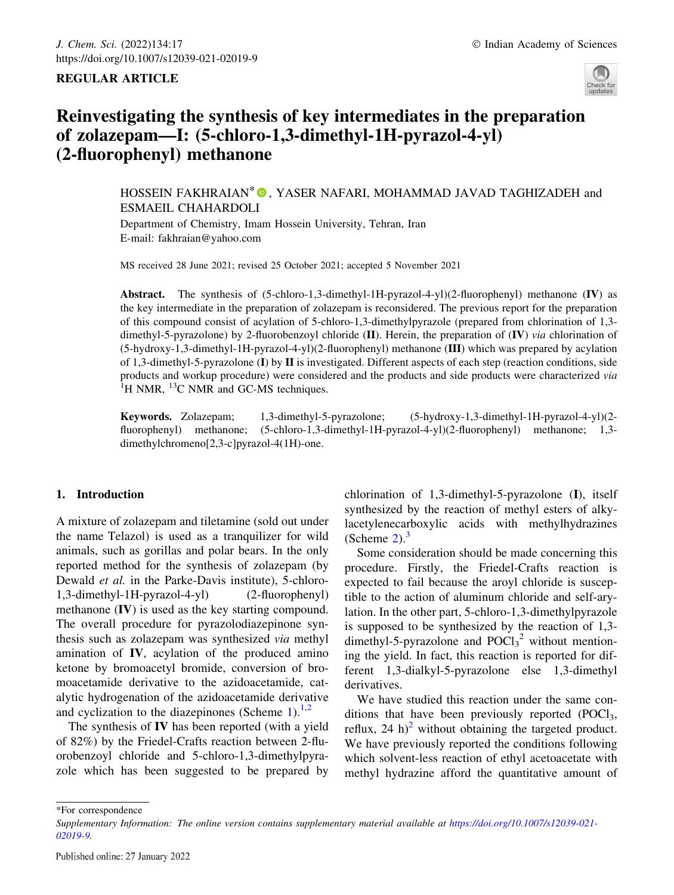## REGULAR ARTICLE



# Reinvestigating the synthesis of key intermediates in the preparation of zolazepam—I: (5-chloro-1,3-dimethyl-1H-pyrazol-4-yl) (2-fluorophenyl) methanone

HOSSEIN FAKHRAIAN<sup>\*</sup> **D**, YASER NAFARI, MOHAMMAD JAVAD TAGHIZADEH and ESMAEIL CHAHARDOLI

Department of Chemistry, Imam Hossein University, Tehran, Iran E-mail: fakhraian@yahoo.com

MS received 28 June 2021; revised 25 October 2021; accepted 5 November 2021

Abstract. The synthesis of (5-chloro-1,3-dimethyl-1H-pyrazol-4-yl)(2-fluorophenyl) methanone (IV) as the key intermediate in the preparation of zolazepam is reconsidered. The previous report for the preparation of this compound consist of acylation of 5-chloro-1,3-dimethylpyrazole (prepared from chlorination of 1,3 dimethyl-5-pyrazolone) by 2-fluorobenzoyl chloride (II). Herein, the preparation of  $(V)$  via chlorination of (5-hydroxy-1,3-dimethyl-1H-pyrazol-4-yl)(2-fluorophenyl) methanone (III) which was prepared by acylation of 1,3-dimethyl-5-pyrazolone (I) by II is investigated. Different aspects of each step (reaction conditions, side products and workup procedure) were considered and the products and side products were characterized via <sup>1</sup>  ${}^{1}$ H NMR,  ${}^{13}$ C NMR and GC-MS techniques.

Keywords. Zolazepam; 1,3-dimethyl-5-pyrazolone; (5-hydroxy-1,3-dimethyl-1H-pyrazol-4-yl)(2 fluorophenyl) methanone; (5-chloro-1,3-dimethyl-1H-pyrazol-4-yl)(2-fluorophenyl) methanone; 1,3 dimethylchromeno[2,3-c]pyrazol-4(1H)-one.

# 1. Introduction

A mixture of zolazepam and tiletamine (sold out under the name Telazol) is used as a tranquilizer for wild animals, such as gorillas and polar bears. In the only reported method for the synthesis of zolazepam (by Dewald et al. in the Parke-Davis institute), 5-chloro-1,3-dimethyl-1H-pyrazol-4-yl) (2-fluorophenyl) methanone (IV) is used as the key starting compound. The overall procedure for pyrazolodiazepinone synthesis such as zolazepam was synthesized via methyl amination of IV, acylation of the produced amino ketone by bromoacetyl bromide, conversion of bromoacetamide derivative to the azidoacetamide, catalytic hydrogenation of the azidoacetamide derivative and cyclization to the diazepinones (Scheme 1).<sup>1,2</sup>

The synthesis of IV has been reported (with a yield of 82%) by the Friedel-Crafts reaction between 2-fluorobenzoyl chloride and 5-chloro-1,3-dimethylpyrazole which has been suggested to be prepared by chlorination of 1,3-dimethyl-5-pyrazolone (I), itself synthesized by the reaction of methyl esters of alkylacetylenecarboxylic acids with methylhydrazines (Scheme  $2$ ).<sup>3</sup>

Some consideration should be made concerning this procedure. Firstly, the Friedel-Crafts reaction is expected to fail because the aroyl chloride is susceptible to the action of aluminum chloride and self-arylation. In the other part, 5-chloro-1,3-dimethylpyrazole is supposed to be synthesized by the reaction of 1,3 dimethyl-5-pyrazolone and  $POCl<sub>3</sub><sup>2</sup>$  without mentioning the yield. In fact, this reaction is reported for different 1,3-dialkyl-5-pyrazolone else 1,3-dimethyl derivatives.

We have studied this reaction under the same conditions that have been previously reported  $(POCl<sub>3</sub>,$ reflux, 24 h)<sup>2</sup> without obtaining the targeted product. We have previously reported the conditions following which solvent-less reaction of ethyl acetoacetate with methyl hydrazine afford the quantitative amount of

\*For correspondence

Supplementary Information: The online version contains supplementary material available at https://doi.org/10.1007/s12039-021- 02019-9.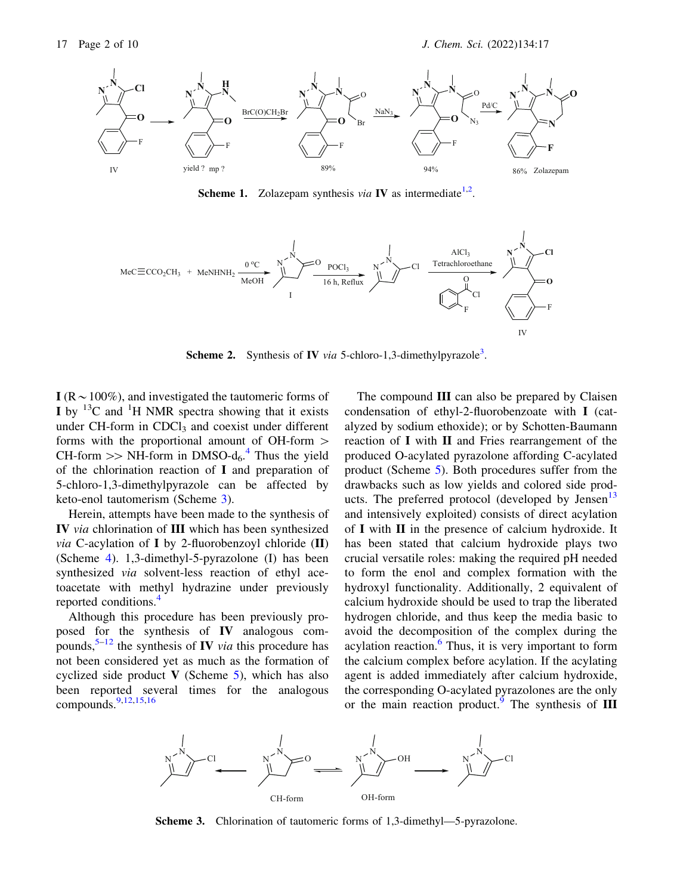

**Scheme 1.** Zolazepam synthesis via **IV** as intermediate<sup>1,2</sup>.



**Scheme 2.** Synthesis of **IV** via 5-chloro-1,3-dimethylpyrazole<sup>3</sup>.

I ( $R \sim 100\%$ ), and investigated the tautomeric forms of I by  $^{13}$ C and  $^{1}$ H NMR spectra showing that it exists under CH-form in CDCl<sub>3</sub> and coexist under different forms with the proportional amount of OH-form  $>$ CH-form  $\gg$  NH-form in DMSO-d<sub>6</sub>.<sup>4</sup> Thus the yield of the chlorination reaction of I and preparation of 5-chloro-1,3-dimethylpyrazole can be affected by keto-enol tautomerism (Scheme 3).

Herein, attempts have been made to the synthesis of IV via chlorination of III which has been synthesized via C-acylation of I by 2-fluorobenzoyl chloride  $(II)$ (Scheme 4). 1,3-dimethyl-5-pyrazolone (I) has been synthesized via solvent-less reaction of ethyl acetoacetate with methyl hydrazine under previously reported conditions.4

Although this procedure has been previously proposed for the synthesis of IV analogous compounds,  $5-12$  the synthesis of IV *via* this procedure has not been considered yet as much as the formation of cyclized side product  $V$  (Scheme 5), which has also been reported several times for the analogous compounds.9,12,15,16

The compound III can also be prepared by Claisen condensation of ethyl-2-fluorobenzoate with I (catalyzed by sodium ethoxide); or by Schotten-Baumann reaction of I with II and Fries rearrangement of the produced O-acylated pyrazolone affording C-acylated product (Scheme 5). Both procedures suffer from the drawbacks such as low yields and colored side products. The preferred protocol (developed by Jensen $13$ and intensively exploited) consists of direct acylation of I with II in the presence of calcium hydroxide. It has been stated that calcium hydroxide plays two crucial versatile roles: making the required pH needed to form the enol and complex formation with the hydroxyl functionality. Additionally, 2 equivalent of calcium hydroxide should be used to trap the liberated hydrogen chloride, and thus keep the media basic to avoid the decomposition of the complex during the acylation reaction. $6$  Thus, it is very important to form the calcium complex before acylation. If the acylating agent is added immediately after calcium hydroxide, the corresponding O-acylated pyrazolones are the only or the main reaction product.<sup>9</sup> The synthesis of III



Scheme 3. Chlorination of tautomeric forms of 1,3-dimethyl—5-pyrazolone.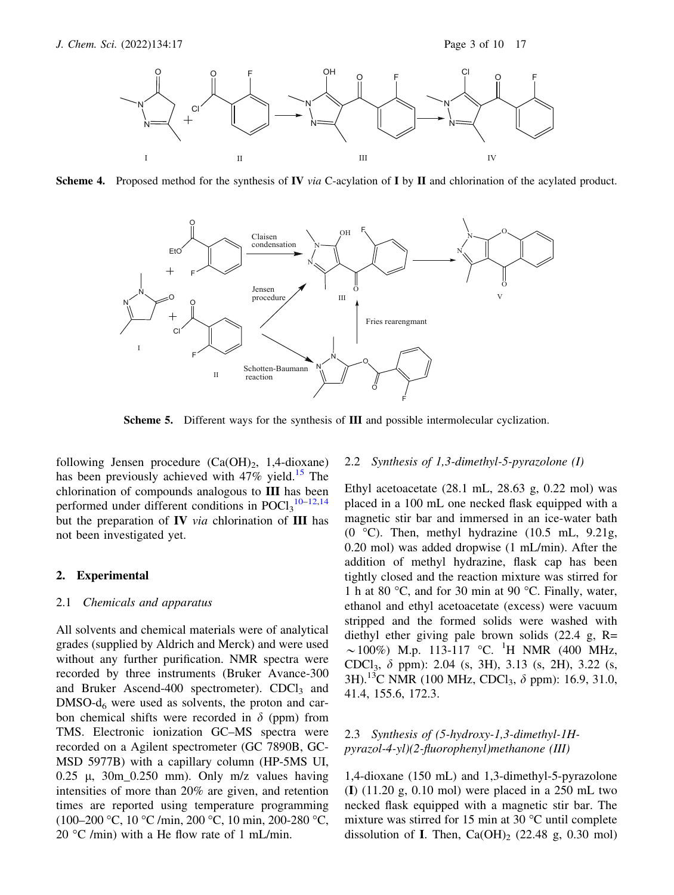

**Scheme 4.** Proposed method for the synthesis of **IV** via C-acylation of **I** by **II** and chlorination of the acylated product.



Scheme 5. Different ways for the synthesis of III and possible intermolecular cyclization.

following Jensen procedure  $(Ca(OH)_2, 1,4-dioxane)$ has been previously achieved with  $47\%$  yield.<sup>15</sup> The chlorination of compounds analogous to III has been performed under different conditions in  $POCl<sub>3</sub><sup>10-12,14</sup>$ but the preparation of *via* **chlorination of**  $**III**$  **has** not been investigated yet.

#### 2. Experimental

#### 2.1 Chemicals and apparatus

All solvents and chemical materials were of analytical grades (supplied by Aldrich and Merck) and were used without any further purification. NMR spectra were recorded by three instruments (Bruker Avance-300 and Bruker Ascend-400 spectrometer).  $CDCl<sub>3</sub>$  and  $DMSO-d<sub>6</sub>$  were used as solvents, the proton and carbon chemical shifts were recorded in  $\delta$  (ppm) from TMS. Electronic ionization GC–MS spectra were recorded on a Agilent spectrometer (GC 7890B, GC-MSD 5977B) with a capillary column (HP-5MS UI, 0.25  $\mu$ , 30m\_0.250 mm). Only m/z values having intensities of more than 20% are given, and retention times are reported using temperature programming (100–200 °C, 10 °C /min, 200 °C, 10 min, 200-280 °C, 20  $\degree$ C /min) with a He flow rate of 1 mL/min.

## 2.2 Synthesis of 1,3-dimethyl-5-pyrazolone (I)

Ethyl acetoacetate (28.1 mL, 28.63 g, 0.22 mol) was placed in a 100 mL one necked flask equipped with a magnetic stir bar and immersed in an ice-water bath (0  $^{\circ}$ C). Then, methyl hydrazine (10.5 mL, 9.21g, 0.20 mol) was added dropwise (1 mL/min). After the addition of methyl hydrazine, flask cap has been tightly closed and the reaction mixture was stirred for 1 h at 80  $\degree$ C, and for 30 min at 90  $\degree$ C. Finally, water, ethanol and ethyl acetoacetate (excess) were vacuum stripped and the formed solids were washed with diethyl ether giving pale brown solids (22.4 g, R=  $\sim$ 100%) M.p. 113-117 °C. <sup>1</sup>H NMR (400 MHz, CDCl<sub>3</sub>,  $\delta$  ppm): 2.04 (s, 3H), 3.13 (s, 2H), 3.22 (s, 3H).<sup>13</sup>C NMR (100 MHz, CDCl<sub>3</sub>,  $\delta$  ppm): 16.9, 31.0, 41.4, 155.6, 172.3.

# 2.3 Synthesis of (5-hydroxy-1,3-dimethyl-1Hpyrazol-4-yl)(2-fluorophenyl)methanone (III)

1,4-dioxane (150 mL) and 1,3-dimethyl-5-pyrazolone (I)  $(11.20 \text{ g}, 0.10 \text{ mol})$  were placed in a 250 mL two necked flask equipped with a magnetic stir bar. The mixture was stirred for 15 min at 30 $\degree$ C until complete dissolution of I. Then,  $Ca(OH)_2$  (22.48 g, 0.30 mol)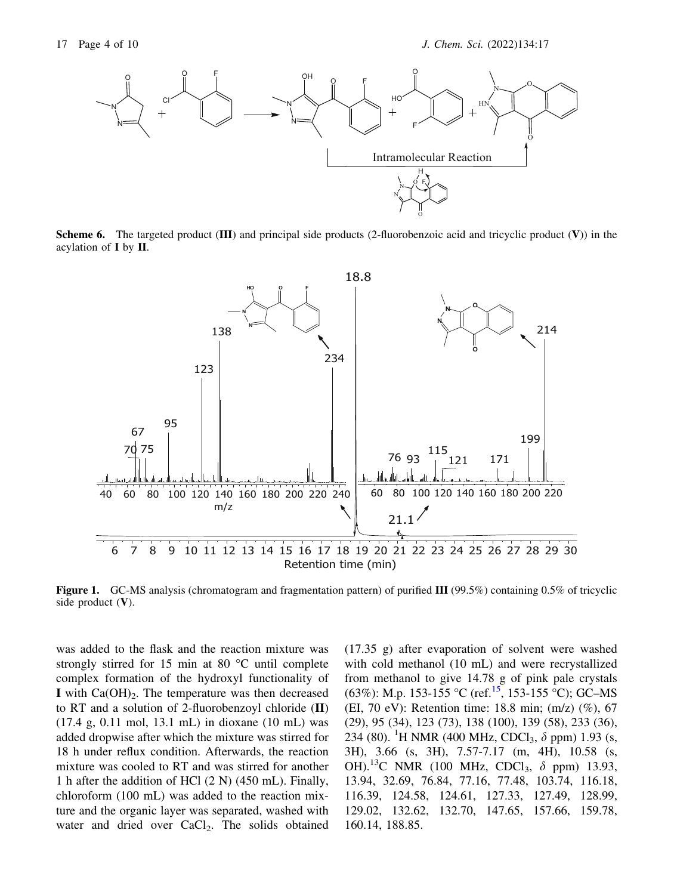

**Scheme 6.** The targeted product (III) and principal side products (2-fluorobenzoic acid and tricyclic product  $(V)$ ) in the acylation of I by II.



Figure 1. GC-MS analysis (chromatogram and fragmentation pattern) of purified III (99.5%) containing 0.5% of tricyclic side product  $(V)$ .

was added to the flask and the reaction mixture was strongly stirred for 15 min at 80  $^{\circ}$ C until complete complex formation of the hydroxyl functionality of I with  $Ca(OH)_2$ . The temperature was then decreased to RT and a solution of 2-fluorobenzoyl chloride (II) (17.4 g, 0.11 mol, 13.1 mL) in dioxane (10 mL) was added dropwise after which the mixture was stirred for 18 h under reflux condition. Afterwards, the reaction mixture was cooled to RT and was stirred for another 1 h after the addition of HCl (2 N) (450 mL). Finally, chloroform (100 mL) was added to the reaction mixture and the organic layer was separated, washed with water and dried over CaCl<sub>2</sub>. The solids obtained (17.35 g) after evaporation of solvent were washed with cold methanol (10 mL) and were recrystallized from methanol to give 14.78 g of pink pale crystals  $(63\%)$ : M.p. 153-155 °C (ref.<sup>15</sup>, 153-155 °C); GC–MS (EI, 70 eV): Retention time: 18.8 min; (m/z) (%), 67 (29), 95 (34), 123 (73), 138 (100), 139 (58), 233 (36), 234 (80). <sup>1</sup>H NMR (400 MHz, CDCl<sub>3</sub>,  $\delta$  ppm) 1.93 (s, 3H), 3.66 (s, 3H), 7.57-7.17 (m, 4H), 10.58 (s, OH).<sup>13</sup>C NMR (100 MHz, CDCl<sub>3</sub>,  $\delta$  ppm) 13.93, 13.94, 32.69, 76.84, 77.16, 77.48, 103.74, 116.18, 116.39, 124.58, 124.61, 127.33, 127.49, 128.99, 129.02, 132.62, 132.70, 147.65, 157.66, 159.78, 160.14, 188.85.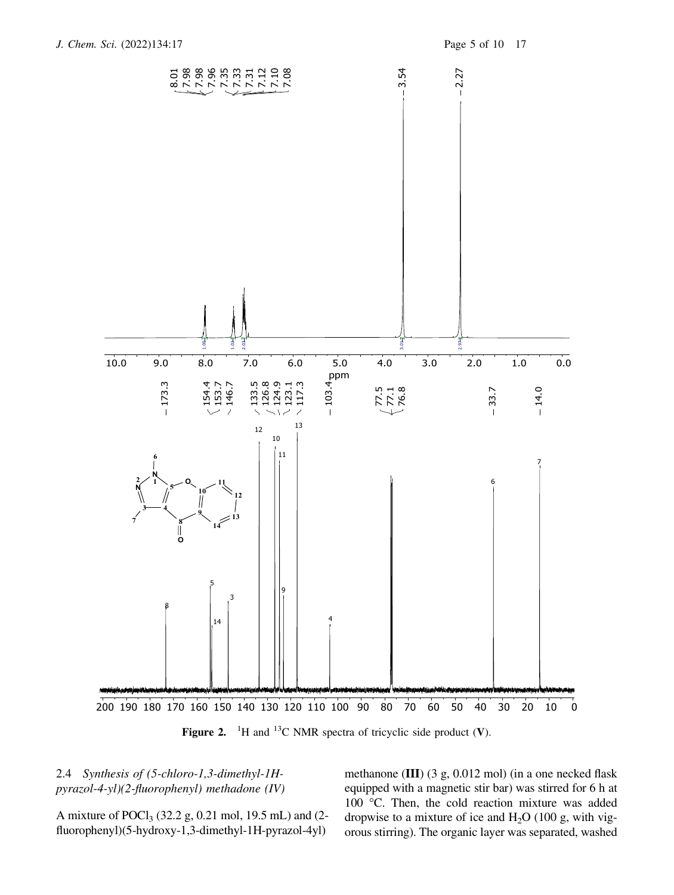

Figure 2. <sup>1</sup>H and <sup>13</sup>C NMR spectra of tricyclic side product (V).

# 2.4 Synthesis of (5-chloro-1,3-dimethyl-1Hpyrazol-4-yl)(2-fluorophenyl) methadone (IV)

A mixture of POCl3 (32.2 g, 0.21 mol, 19.5 mL) and (2 fluorophenyl)(5-hydroxy-1,3-dimethyl-1H-pyrazol-4yl)

methanone (III) (3 g, 0.012 mol) (in a one necked flask equipped with a magnetic stir bar) was stirred for 6 h at 100 °C. Then, the cold reaction mixture was added dropwise to a mixture of ice and  $H_2O$  (100 g, with vigorous stirring). The organic layer was separated, washed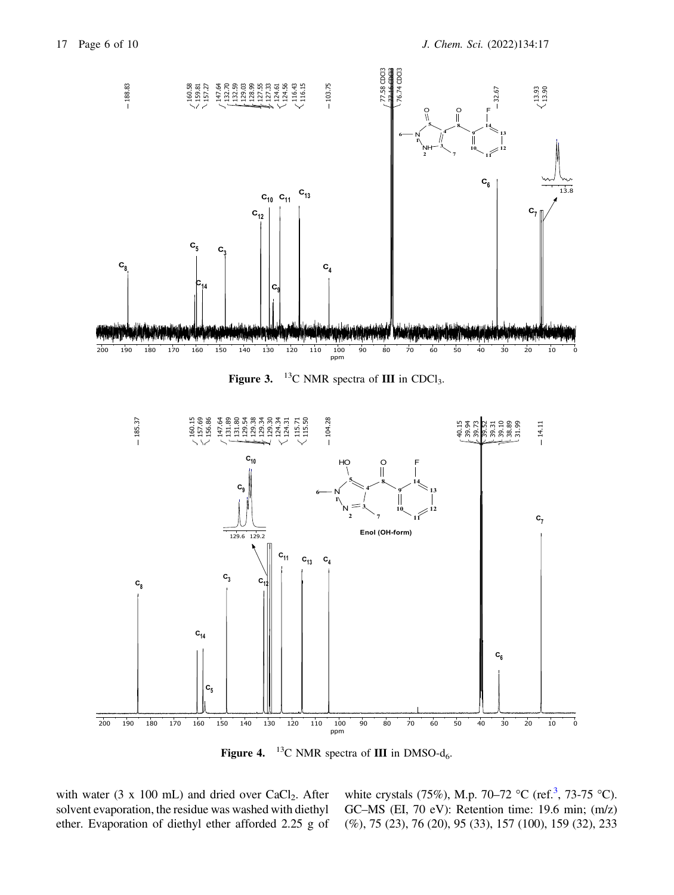

Figure 3.  $^{13}$ C NMR spectra of III in CDCl<sub>3</sub>.



**Figure 4.** <sup>13</sup>C NMR spectra of **III** in DMSO- $d_6$ .

with water (3 x 100 mL) and dried over CaCl<sub>2</sub>. After solvent evaporation, the residue was washed with diethyl ether. Evaporation of diethyl ether afforded 2.25 g of

white crystals (75%), M.p. 70–72 °C (ref.<sup>3</sup>, 73-75 °C). GC–MS (EI, 70 eV): Retention time: 19.6 min; (m/z) (%), 75 (23), 76 (20), 95 (33), 157 (100), 159 (32), 233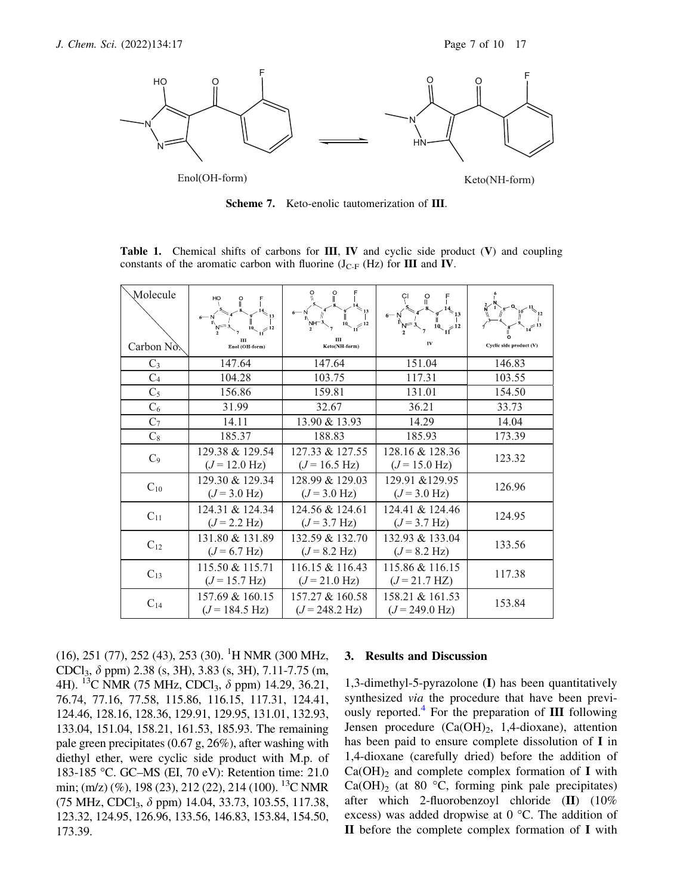

Scheme 7. Keto-enolic tautomerization of III.

| Molecule       | HO<br>$10 \frac{1}{2}$                      | O<br>O<br>`NH⊤                              |                                             |                         |
|----------------|---------------------------------------------|---------------------------------------------|---------------------------------------------|-------------------------|
| Carbon No.     | Ш<br>Enol (OH-form)                         | Ш<br>Keto(NH-form)                          | IV                                          | Cyclic side product (V) |
| $C_3$          | 147.64                                      | 147.64                                      | 151.04                                      | 146.83                  |
| C <sub>4</sub> | 104.28                                      | 103.75                                      | 117.31                                      | 103.55                  |
| $C_5$          | 156.86                                      | 159.81                                      | 131.01                                      | 154.50                  |
| $C_6$          | 31.99                                       | 32.67                                       | 36.21                                       | 33.73                   |
| $C_7$          | 14.11                                       | 13.90 & 13.93                               | 14.29                                       | 14.04                   |
| $C_8$          | 185.37                                      | 188.83                                      | 185.93                                      | 173.39                  |
| C <sub>9</sub> | 129.38 & 129.54<br>$(J = 12.0 \text{ Hz})$  | 127.33 & 127.55<br>$(J=16.5 \text{ Hz})$    | 128.16 & 128.36<br>$(J = 15.0 \text{ Hz})$  | 123.32                  |
| $C_{10}$       | 129.30 & 129.34<br>$(J = 3.0 \text{ Hz})$   | 128.99 & 129.03<br>$(J = 3.0 \text{ Hz})$   | 129.91 & 129.95<br>$(J = 3.0 \text{ Hz})$   | 126.96                  |
| $C_{11}$       | 124.31 & 124.34<br>$(J = 2.2 \text{ Hz})$   | 124.56 & 124.61<br>$(J = 3.7 \text{ Hz})$   | 124.41 & 124.46<br>$(J = 3.7 \text{ Hz})$   | 124.95                  |
| $C_{12}$       | 131.80 & 131.89<br>$(J=6.7 \text{ Hz})$     | 132.59 & 132.70<br>$(J = 8.2 \text{ Hz})$   | 132.93 & 133.04<br>$(J = 8.2 \text{ Hz})$   | 133.56                  |
| $C_{13}$       | 115.50 & 115.71<br>$(J=15.7 \text{ Hz})$    | 116.15 & 116.43<br>$(J=21.0 \text{ Hz})$    | 115.86 & 116.15<br>$(J=21.7 \text{ Hz})$    | 117.38                  |
| $C_{14}$       | 157.69 & 160.15<br>$(J = 184.5 \text{ Hz})$ | 157.27 & 160.58<br>$(J = 248.2 \text{ Hz})$ | 158.21 & 161.53<br>$(J = 249.0 \text{ Hz})$ | 153.84                  |

Table 1. Chemical shifts of carbons for III, IV and cyclic side product (V) and coupling constants of the aromatic carbon with fluorine  $(J_{C-F} (Hz)$  for III and IV.

(16), 251 (77), 252 (43), 253 (30). <sup>1</sup>H NMR (300 MHz, CDCl<sub>3</sub>,  $\delta$  ppm) 2.38 (s, 3H), 3.83 (s, 3H), 7.11-7.75 (m, 4H). <sup>13</sup>C NMR (75 MHz, CDCl<sub>3</sub>,  $\delta$  ppm) 14.29, 36.21, 76.74, 77.16, 77.58, 115.86, 116.15, 117.31, 124.41, 124.46, 128.16, 128.36, 129.91, 129.95, 131.01, 132.93, 133.04, 151.04, 158.21, 161.53, 185.93. The remaining pale green precipitates (0.67 g, 26%), after washing with diethyl ether, were cyclic side product with M.p. of 183-185 °C. GC-MS (EI, 70 eV): Retention time: 21.0 min; (m/z) (%), 198 (23), 212 (22), 214 (100). <sup>13</sup>C NMR (75 MHz, CDCl3, d ppm) 14.04, 33.73, 103.55, 117.38, 123.32, 124.95, 126.96, 133.56, 146.83, 153.84, 154.50, 173.39.

#### 3. Results and Discussion

1,3-dimethyl-5-pyrazolone (I) has been quantitatively synthesized via the procedure that have been previously reported.<sup>4</sup> For the preparation of  $III$  following Jensen procedure  $(Ca(OH)_2, 1,4-dioxane)$ , attention has been paid to ensure complete dissolution of I in 1,4-dioxane (carefully dried) before the addition of  $Ca(OH)_2$  and complete complex formation of I with  $Ca(OH)_2$  (at 80 °C, forming pink pale precipitates) after which 2-fluorobenzoyl chloride (II) (10% excess) was added dropwise at  $0^{\circ}$ C. The addition of II before the complete complex formation of I with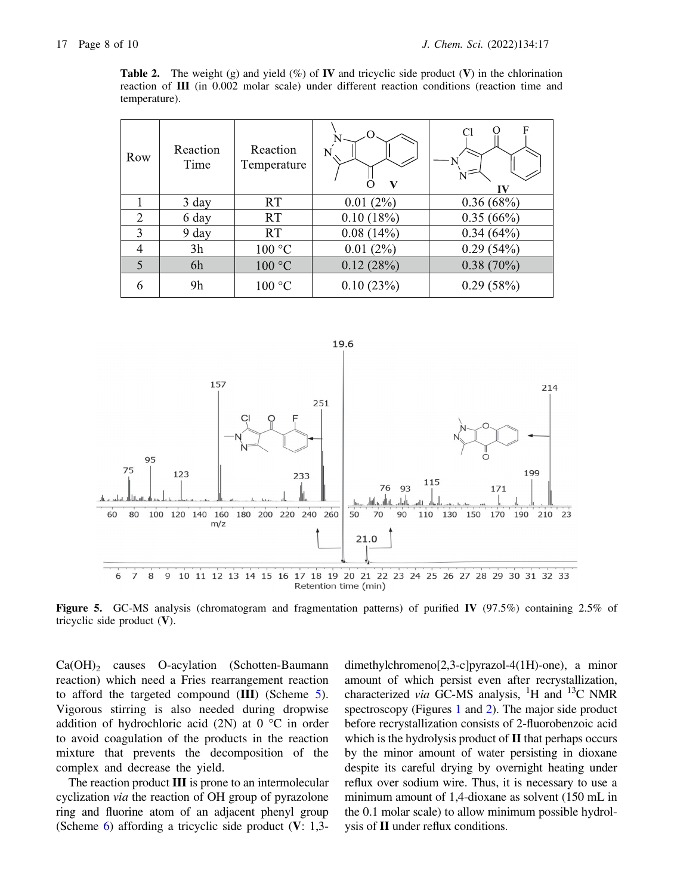**Table 2.** The weight (g) and yield (%) of **IV** and tricyclic side product (V) in the chlorination reaction of III (in 0.002 molar scale) under different reaction conditions (reaction time and temperature).

| Row            | Reaction<br>Time | Reaction<br>Temperature | $\Omega$<br>V | F<br>Cl      |
|----------------|------------------|-------------------------|---------------|--------------|
|                | 3 day            | RT                      | 0.01(2%)      | 0.36(68%)    |
| $\overline{2}$ | 6 day            | <b>RT</b>               | 0.10(18%)     | 0.35(66%)    |
| 3              | 9 day            | <b>RT</b>               | 0.08(14%)     | $0.34(64\%)$ |
|                | 3h               | 100 °C                  | 0.01(2%)      | 0.29(54%)    |
| 5              | 6h               | 100 °C                  | 0.12(28%)     | $0.38(70\%)$ |
| 6              | 9h               | 100 °C                  | 0.10(23%)     | 0.29(58%)    |



Figure 5. GC-MS analysis (chromatogram and fragmentation patterns) of purified IV (97.5%) containing 2.5% of tricyclic side product (V).

 $Ca(OH)_2$  causes O-acylation (Schotten-Baumann reaction) which need a Fries rearrangement reaction to afford the targeted compound (III) (Scheme 5). Vigorous stirring is also needed during dropwise addition of hydrochloric acid (2N) at  $0^{\circ}$ C in order to avoid coagulation of the products in the reaction mixture that prevents the decomposition of the complex and decrease the yield.

The reaction product III is prone to an intermolecular cyclization via the reaction of OH group of pyrazolone ring and fluorine atom of an adjacent phenyl group (Scheme 6) affording a tricyclic side product (V: 1,3dimethylchromeno[2,3-c]pyrazol-4(1H)-one), a minor amount of which persist even after recrystallization, characterized via GC-MS analysis, <sup>1</sup>H and <sup>13</sup>C NMR spectroscopy (Figures 1 and 2). The major side product before recrystallization consists of 2-fluorobenzoic acid which is the hydrolysis product of **II** that perhaps occurs by the minor amount of water persisting in dioxane despite its careful drying by overnight heating under reflux over sodium wire. Thus, it is necessary to use a minimum amount of 1,4-dioxane as solvent (150 mL in the 0.1 molar scale) to allow minimum possible hydrolysis of II under reflux conditions.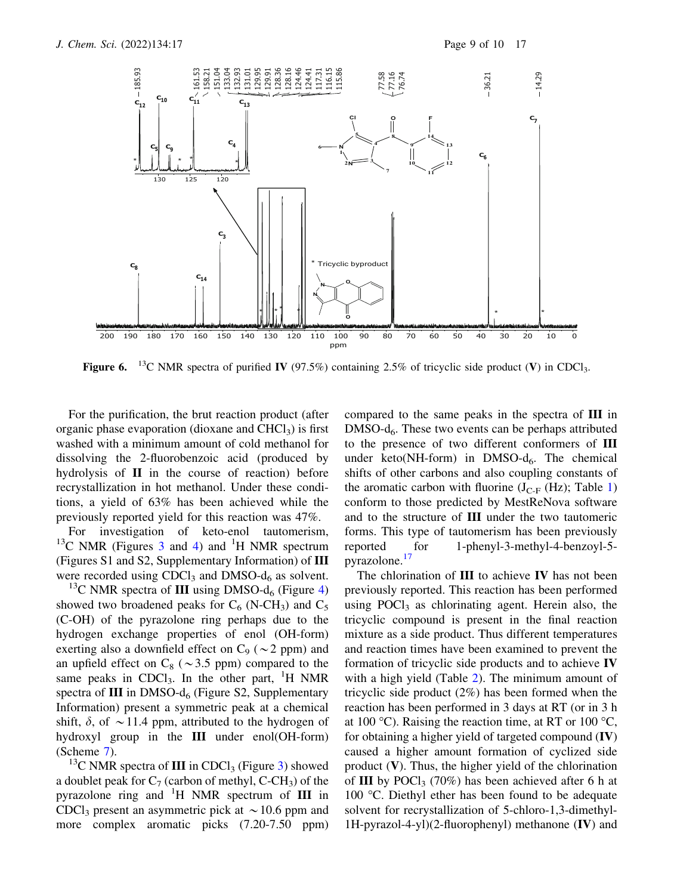

**Figure 6.** <sup>13</sup>C NMR spectra of purified IV (97.5%) containing 2.5% of tricyclic side product (V) in CDCl<sub>3</sub>.

For the purification, the brut reaction product (after organic phase evaporation (dioxane and  $CHCl<sub>3</sub>$ ) is first washed with a minimum amount of cold methanol for dissolving the 2-fluorobenzoic acid (produced by hydrolysis of II in the course of reaction) before recrystallization in hot methanol. Under these conditions, a yield of 63% has been achieved while the previously reported yield for this reaction was 47%.

For investigation of keto-enol tautomerism,  $^{13}$ C NMR (Figures 3 and 4) and <sup>1</sup>H NMR spectrum (Figures S1 and S2, Supplementary Information) of III were recorded using  $CDCl<sub>3</sub>$  and  $DMSO-d<sub>6</sub>$  as solvent.

<sup>13</sup>C NMR spectra of **III** using DMSO- $d_6$  (Figure 4) showed two broadened peaks for  $C_6$  (N-CH<sub>3</sub>) and  $C_5$ (C-OH) of the pyrazolone ring perhaps due to the hydrogen exchange properties of enol (OH-form) exerting also a downfield effect on  $C_9$  ( $\sim$ 2 ppm) and an upfield effect on  $C_8$  ( $\sim$ 3.5 ppm) compared to the same peaks in CDCl<sub>3</sub>. In the other part, <sup>1</sup>H NMR spectra of  $III$  in DMSO- $d_6$  (Figure S2, Supplementary Information) present a symmetric peak at a chemical shift,  $\delta$ , of  $\sim$  11.4 ppm, attributed to the hydrogen of hydroxyl group in the III under enol(OH-form) (Scheme 7).

<sup>13</sup>C NMR spectra of **III** in CDCl<sub>3</sub> (Figure 3) showed a doublet peak for  $C_7$  (carbon of methyl, C-CH<sub>3</sub>) of the pyrazolone ring and  ${}^{1}H$  NMR spectrum of III in CDCl<sub>3</sub> present an asymmetric pick at  $\sim$  10.6 ppm and more complex aromatic picks  $(7.20-7.50$  ppm)

compared to the same peaks in the spectra of III in  $DMSO-d<sub>6</sub>$ . These two events can be perhaps attributed to the presence of two different conformers of III under keto(NH-form) in DMSO- $d_6$ . The chemical shifts of other carbons and also coupling constants of the aromatic carbon with fluorine  $(J_{C-F} (Hz))$ ; Table 1) conform to those predicted by MestReNova software and to the structure of III under the two tautomeric forms. This type of tautomerism has been previously reported for 1-phenyl-3-methyl-4-benzoyl-5 pyrazolone.17

The chlorination of **III** to achieve **IV** has not been previously reported. This reaction has been performed using  $POCl<sub>3</sub>$  as chlorinating agent. Herein also, the tricyclic compound is present in the final reaction mixture as a side product. Thus different temperatures and reaction times have been examined to prevent the formation of tricyclic side products and to achieve IV with a high yield (Table 2). The minimum amount of tricyclic side product (2%) has been formed when the reaction has been performed in 3 days at RT (or in 3 h at 100 °C). Raising the reaction time, at RT or 100 °C, for obtaining a higher yield of targeted compound (IV) caused a higher amount formation of cyclized side product  $(V)$ . Thus, the higher yield of the chlorination of III by POCl<sub>3</sub> (70%) has been achieved after 6 h at 100  $^{\circ}$ C. Diethyl ether has been found to be adequate solvent for recrystallization of 5-chloro-1,3-dimethyl-1H-pyrazol-4-yl)(2-fluorophenyl) methanone (IV) and